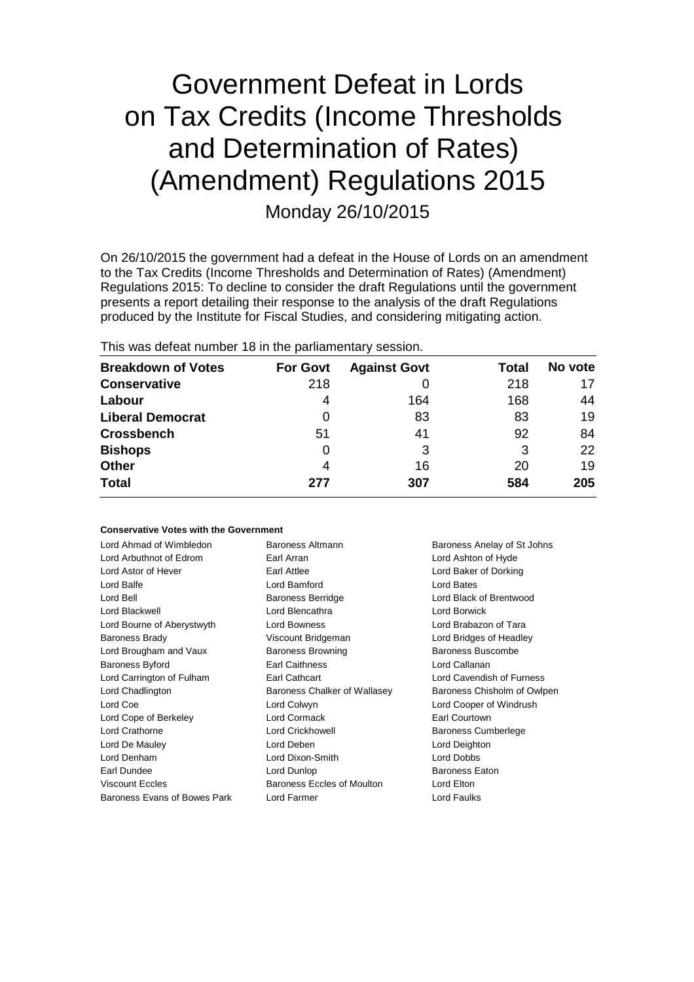# Government Defeat in Lords on Tax Credits (Income Thresholds and Determination of Rates) (Amendment) Regulations 2015 Monday 26/10/2015

On 26/10/2015 the government had a defeat in the House of Lords on an amendment to the Tax Credits (Income Thresholds and Determination of Rates) (Amendment) Regulations 2015: To decline to consider the draft Regulations until the government presents a report detailing their response to the analysis of the draft Regulations produced by the Institute for Fiscal Studies, and considering mitigating action.

This was defeat number 18 in the parliamentary session.

| <b>Breakdown of Votes</b> | <b>For Govt</b> | <b>Against Govt</b> | Total | No vote |
|---------------------------|-----------------|---------------------|-------|---------|
| <b>Conservative</b>       | 218             |                     | 218   | 17      |
| Labour                    | 4               | 164                 | 168   | 44      |
| <b>Liberal Democrat</b>   | 0               | 83                  | 83    | 19      |
| <b>Crossbench</b>         | 51              | 41                  | 92    | 84      |
| <b>Bishops</b>            | 0               | 3                   | 3     | 22      |
| <b>Other</b>              | 4               | 16                  | 20    | 19      |
| <b>Total</b>              | 277             | 307                 | 584   | 205     |

#### **Conservative Votes with the Government**

| Lord Ahmad of Wimbledon      | Baroness Altmann             | Baroness Anelay of St Johns |
|------------------------------|------------------------------|-----------------------------|
| Lord Arbuthnot of Edrom      | Earl Arran                   | Lord Ashton of Hyde         |
| Lord Astor of Hever          | Earl Attlee                  | Lord Baker of Dorking       |
| Lord Balfe                   | Lord Bamford                 | Lord Bates                  |
| Lord Bell                    | <b>Baroness Berridge</b>     | Lord Black of Brentwood     |
| Lord Blackwell               | Lord Blencathra              | Lord Borwick                |
| Lord Bourne of Aberystwyth   | Lord Bowness                 | Lord Brabazon of Tara       |
| <b>Baroness Brady</b>        | Viscount Bridgeman           | Lord Bridges of Headley     |
| Lord Brougham and Vaux       | <b>Baroness Browning</b>     | Baroness Buscombe           |
| Baroness Byford              | <b>Earl Caithness</b>        | Lord Callanan               |
| Lord Carrington of Fulham    | Earl Cathcart                | Lord Cavendish of Furness   |
| Lord Chadlington             | Baroness Chalker of Wallasey | Baroness Chisholm of Owlpen |
| Lord Coe                     | Lord Colwyn                  | Lord Cooper of Windrush     |
| Lord Cope of Berkeley        | <b>Lord Cormack</b>          | Earl Courtown               |
| Lord Crathorne               | Lord Crickhowell             | Baroness Cumberlege         |
| Lord De Mauley               | Lord Deben                   | Lord Deighton               |
| Lord Denham                  | Lord Dixon-Smith             | Lord Dobbs                  |
| Earl Dundee                  | Lord Dunlop                  | Baroness Eaton              |
| <b>Viscount Eccles</b>       | Baroness Eccles of Moulton   | Lord Elton                  |
| Baroness Evans of Bowes Park | Lord Farmer                  | <b>Lord Faulks</b>          |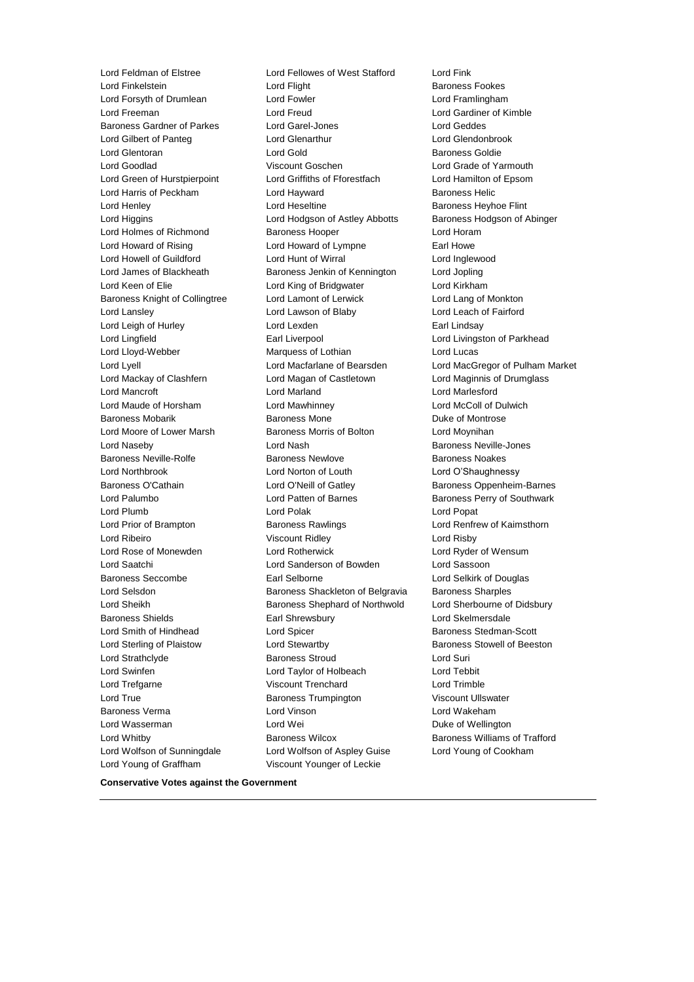Lord Young of Graffham Viscount Younger of Leckie

Lord Feldman of Elstree Lord Fellowes of West Stafford Lord Fink Lord Finkelstein **Lord Flight** Baroness Fookes Lord Forsyth of Drumlean Lord Fowler Lord Framlingham Lord Freeman Lord Freud Lord Gardiner of Kimble Baroness Gardner of Parkes Lord Garel-Jones Controller Lord Geddes Lord Gilbert of Panteg Lord Glenarthur Lord Glendonbrook Lord Glentoran **Lord Gold** Baroness Goldie Lord Goodlad Viscount Goschen Lord Grade of Yarmouth Lord Green of Hurstpierpoint Lord Griffiths of Fforestfach Lord Hamilton of Epsom Lord Harris of Peckham **Lord Hayward** Baroness Helic Lord Henley **Lord Heseltine Lord Heseltine Baroness Heyhoe Flint** Lord Higgins Lord Hodgson of Astley Abbotts Baroness Hodgson of Abinger Lord Holmes of Richmond Baroness Hooper Lord Horam Lord Howard of Rising Lord Howard of Lympne Earl Howe Lord Howell of Guildford Lord Hunt of Wirral Lord Inglewood Lord James of Blackheath Baroness Jenkin of Kennington Lord Jopling Lord Keen of Elie Lord King of Bridgwater Lord Kirkham Baroness Knight of Collingtree Lord Lamont of Lerwick Lord Lang of Monkton Lord Lansley Lord Lawson of Blaby Lord Leach of Fairford Lord Leigh of Hurley **Lord Lexden** Lord Lexden **Earl Lindsay** Lord Lingfield **Earl Liverpool** Earl Liverpool **Lord Livingston of Parkhead** Lord Lloyd-Webber **Marquess of Lothian** Lord Lucas Lord Lyell Lord Macfarlane of Bearsden Lord MacGregor of Pulham Market Lord Mackay of Clashfern Lord Magan of Castletown Lord Maginnis of Drumglass Lord Mancroft Lord Marland Lord Marlesford Lord Maude of Horsham Lord Mawhinney Lord McColl of Dulwich Baroness Mobarik Baroness Mone Duke of Montrose Lord Moore of Lower Marsh Baroness Morris of Bolton Lord Moynihan Lord Naseby **Lord Nash Baroness Neville-Jones** Lord Nash Baroness Neville-Jones Baroness Neville-Rolfe **Baroness Newlove** Baroness Newlove **Baroness Noakes** Lord Northbrook Lord Norton of Louth Lord O'Shaughnessy Baroness O'Cathain **Lord O'Neill of Gatley** Baroness Oppenheim-Barnes Lord Palumbo **Lord Patten of Barnes** Baroness Perry of Southwark Lord Plumb Lord Polak Lord Popat Lord Prior of Brampton **Baroness Rawlings Lord Renfrew of Kaimsthorn** Lord Ribeiro Viscount Ridley Lord Risby Lord Rose of Monewden Lord Rotherwick Lord Ryder of Wensum Lord Saatchi Lord Sanderson of Bowden Lord Sassoon Baroness Seccombe **Earl Selborne Earl Selborne Lord Selkirk of Douglas** Lord Selsdon **Baroness Shackleton of Belgravia** Baroness Sharples Lord Sheikh **Baroness Shephard of Northwold** Lord Sherbourne of Didsbury Baroness Shields **Earl Shrewsbury** Earl Shrewsbury **Lord Skelmersdale** Lord Smith of Hindhead **Lord Spicer Lord Stedman-Scott Baroness Stedman-Scott** Lord Sterling of Plaistow **Lord Stewartby Baroness Stowell of Beeston** Lord Strathclyde **Baroness Stroud Baroness Stroud** Lord Suri Lord Swinfen Lord Taylor of Holbeach Lord Tebbit Lord Trefgarne Viscount Trenchard Lord Trimble Lord True Baroness Trumpington Viscount Ullswater Baroness Verma Lord Vinson Lord Wakeham Lord Wasserman Lord Wei Duke of Wellington Lord Whitby Baroness Wilcox Baroness Williams of Trafford Lord Wolfson of Sunningdale Lord Wolfson of Aspley Guise Lord Young of Cookham

**Conservative Votes against the Government**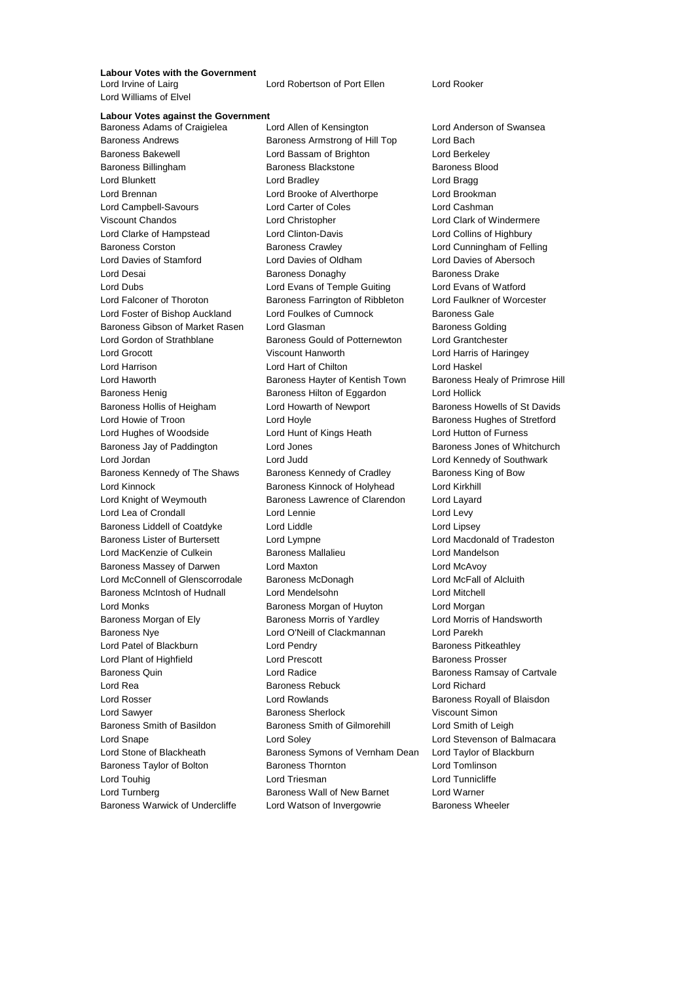## **Labour Votes with the Government**

Lord Williams of Elvel

Lord Robertson of Port Ellen Lord Rooker

### **Labour Votes against the Government**

Baroness Andrews Baroness Armstrong of Hill Top Lord Bach Baroness Bakewell Lord Bassam of Brighton Lord Berkeley Baroness Billingham Baroness Blackstone Baroness Blood Lord Blunkett Lord Bradley Lord Bragg Lord Brennan Lord Brooke of Alverthorpe Lord Brookman Lord Campbell-Savours Lord Carter of Coles Lord Cashman Viscount Chandos Lord Christopher Lord Clark of Windermere Lord Clarke of Hampstead Lord Clinton-Davis Lord Collins of Highbury Baroness Corston Baroness Crawley Lord Cunningham of Felling Lord Davies of Stamford Lord Davies of Oldham Lord Davies of Abersoch Lord Desai **Baroness Donaghy** Baroness Donaghy Baroness Drake Lord Dubs Lord Evans of Temple Guiting Lord Evans of Watford Lord Falconer of Thoroton Baroness Farrington of Ribbleton Lord Faulkner of Worcester Lord Foster of Bishop Auckland Lord Foulkes of Cumnock Baroness Gale Baroness Gibson of Market Rasen Lord Glasman Baroness Golding Baroness Golding Lord Gordon of Strathblane Baroness Gould of Potternewton Lord Grantchester Lord Grocott Viscount Hanworth Lord Harris of Haringey Lord Harrison Lord Hart of Chilton Lord Haskel Lord Haworth **Baroness Hayter of Kentish Town** Baroness Healy of Primrose Hill Baroness Henig Baroness Hilton of Eggardon Lord Hollick Baroness Hollis of Heigham Lord Howarth of Newport Baroness Howells of St Davids Lord Howie of Troon **Lord Hoyle Lord Hoyle Baroness Hughes of Stretford** Lord Hughes of Woodside Lord Hunt of Kings Heath Lord Hutton of Furness Baroness Jay of Paddington **Lord Jones Example 2** Baroness Jones of Whitchurch Lord Jordan Lord Judd Lord Kennedy of Southwark Baroness Kennedy of The Shaws Baroness Kennedy of Cradley Baroness King of Bow Lord Kinnock Baroness Kinnock of Holyhead Lord Kirkhill Lord Knight of Weymouth Baroness Lawrence of Clarendon Lord Layard Lord Lea of Crondall **Lord Lennie** Lord Levy Baroness Liddell of Coatdyke Lord Liddle Lord Linesey Baroness Lister of Burtersett Lord Lympne Lord Macdonald of Tradeston Lord MacKenzie of Culkein Baroness Mallalieu Lord Mandelson Baroness Massey of Darwen Lord Maxton Lord McAvoy Lord McConnell of Glenscorrodale Baroness McDonagh Lord McFall of Alcluith Baroness McIntosh of Hudnall Lord Mendelsohn Lord Mitchell Lord Monks Baroness Morgan of Huyton Lord Morgan Baroness Morgan of Ely **Baroness Morris of Yardley** Lord Morris of Handsworth Baroness Nye Lord O'Neill of Clackmannan Lord Parekh Lord Patel of Blackburn **Lord Pendry Baroness Pitkeathley** Lord Plant of Highfield Lord Prescott Baroness Prosser Baroness Quin **Baroness Quin** Lord Radice **Baroness Ramsay of Cartvale** Lord Rea Baroness Rebuck Lord Richard Lord Rosser **Lord Rowlands Baroness Royall of Blaisdon** Lord Sawyer **Baroness Sherlock** Viscount Simon Baroness Smith of Basildon Baroness Smith of Gilmorehill Lord Smith of Leigh Lord Snape Lord Soley Lord Stevenson of Balmacara Lord Stone of Blackheath Baroness Symons of Vernham Dean Lord Taylor of Blackburn Baroness Taylor of Bolton Baroness Thornton Lord Tomlinson Lord Touhig **Lord Triesman** Lord Triesman **Lord Tunnicliffe** Lord Turnberg **Baroness Wall of New Barnet Lord Warner** Cord Warner Baroness Warwick of Undercliffe Lord Watson of Invergowrie Baroness Wheeler

Baroness Adams of Craigielea Lord Allen of Kensington Lord Anderson of Swansea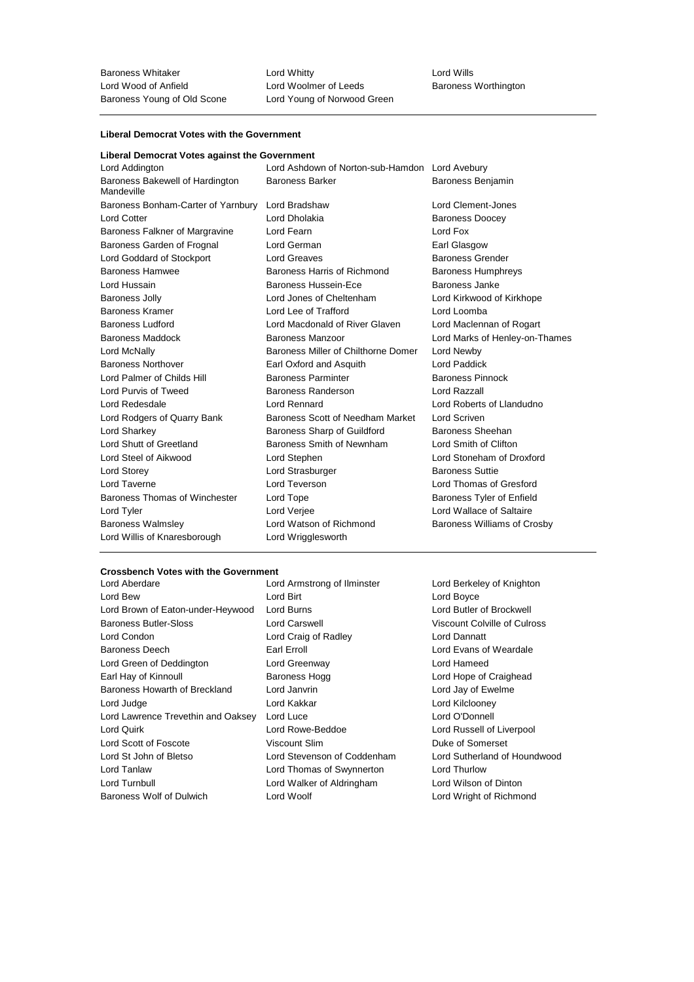Baroness Whitaker Lord Whitty Lord Wills Lord Woolmer of Leeds<br>
Lord Young of Norwood Green<br>
Lord Young of Norwood Green

#### **Liberal Democrat Votes with the Government**

#### **Liberal Democrat Votes against the Government**

| Lord Addington                                | Lord Ashdown of Norton-sub-Hamdon Lord Avebury |                                    |
|-----------------------------------------------|------------------------------------------------|------------------------------------|
| Baroness Bakewell of Hardington<br>Mandeville | <b>Baroness Barker</b>                         | <b>Baroness Benjamin</b>           |
| Baroness Bonham-Carter of Yarnbury            | Lord Bradshaw                                  | Lord Clement-Jones                 |
| <b>Lord Cotter</b>                            | Lord Dholakia                                  | <b>Baroness Doocey</b>             |
| Baroness Falkner of Margravine                | Lord Fearn                                     | Lord Fox                           |
| Baroness Garden of Frognal                    | Lord German                                    | Earl Glasgow                       |
| Lord Goddard of Stockport                     | Lord Greaves                                   | <b>Baroness Grender</b>            |
| <b>Baroness Hamwee</b>                        | Baroness Harris of Richmond                    | <b>Baroness Humphreys</b>          |
| Lord Hussain                                  | Baroness Hussein-Ece                           | Baroness Janke                     |
| <b>Baroness Jolly</b>                         | Lord Jones of Cheltenham                       | Lord Kirkwood of Kirkhope          |
| <b>Baroness Kramer</b>                        | Lord Lee of Trafford                           | Lord Loomba                        |
| <b>Baroness Ludford</b>                       | Lord Macdonald of River Glaven                 | Lord Maclennan of Rogart           |
| Baroness Maddock                              | Baroness Manzoor                               | Lord Marks of Henley-on-Thames     |
| Lord McNally                                  | Baroness Miller of Chilthorne Domer            | Lord Newby                         |
| <b>Baroness Northover</b>                     | Earl Oxford and Asquith                        | Lord Paddick                       |
| Lord Palmer of Childs Hill                    | <b>Baroness Parminter</b>                      | <b>Baroness Pinnock</b>            |
| Lord Purvis of Tweed                          | Baroness Randerson                             | Lord Razzall                       |
| Lord Redesdale                                | Lord Rennard                                   | Lord Roberts of Llandudno          |
| Lord Rodgers of Quarry Bank                   | Baroness Scott of Needham Market               | Lord Scriven                       |
| Lord Sharkey                                  | Baroness Sharp of Guildford                    | Baroness Sheehan                   |
| Lord Shutt of Greetland                       | Baroness Smith of Newnham                      | Lord Smith of Clifton              |
| Lord Steel of Aikwood                         | Lord Stephen                                   | Lord Stoneham of Droxford          |
| <b>Lord Storey</b>                            | Lord Strasburger                               | <b>Baroness Suttie</b>             |
| Lord Taverne                                  | Lord Teverson                                  | Lord Thomas of Gresford            |
| Baroness Thomas of Winchester                 | Lord Tope                                      | Baroness Tyler of Enfield          |
| Lord Tyler                                    | Lord Verjee                                    | Lord Wallace of Saltaire           |
| <b>Baroness Walmsley</b>                      | Lord Watson of Richmond                        | <b>Baroness Williams of Crosby</b> |
| Lord Willis of Knaresborough                  | Lord Wrigglesworth                             |                                    |

### **Crossbench Votes with the Government**

Lord Bew Lord Birt Lord Boyce Lord Brown of Eaton-under-Heywood Lord Burns Lord Butler of Brockwell Baroness Butler-Sloss **Lord Carswell** Lord Carswell Viscount Colville of Culross Lord Condon Lord Craig of Radley Lord Dannatt Baroness Deech **Earl Erroll** Earl Erroll Lord Evans of Weardale Lord Green of Deddington Lord Greenway Lord Hameed Earl Hay of Kinnoull **Baroness Hogg Lord Hope of Craighead** Lord Hope of Craighead Baroness Howarth of Breckland Lord Janvrin **Lord Lord Lord Janvrin** Lord Jay of Ewelme Lord Judge **Lord Kakkar** Lord Kakkar **Lord Communist Lord Kilclooney** Lord Lawrence Trevethin and Oaksey Lord Luce Lord Connell Lord O'Donnell Lord Quirk Lord Rowe-Beddoe Lord Russell of Liverpool Lord Scott of Foscote Viscount Slim Duke of Somerset Lord St John of Bletso Lord Stevenson of Coddenham Lord Sutherland of Houndwood Lord Tanlaw Lord Thomas of Swynnerton Lord Thurlow Lord Turnbull Lord Walker of Aldringham Lord Wilson of Dinton

Lord Armstrong of Ilminster Lord Berkeley of Knighton Baroness Wolf of Dulwich Lord Woolf Lord Wright of Richmond